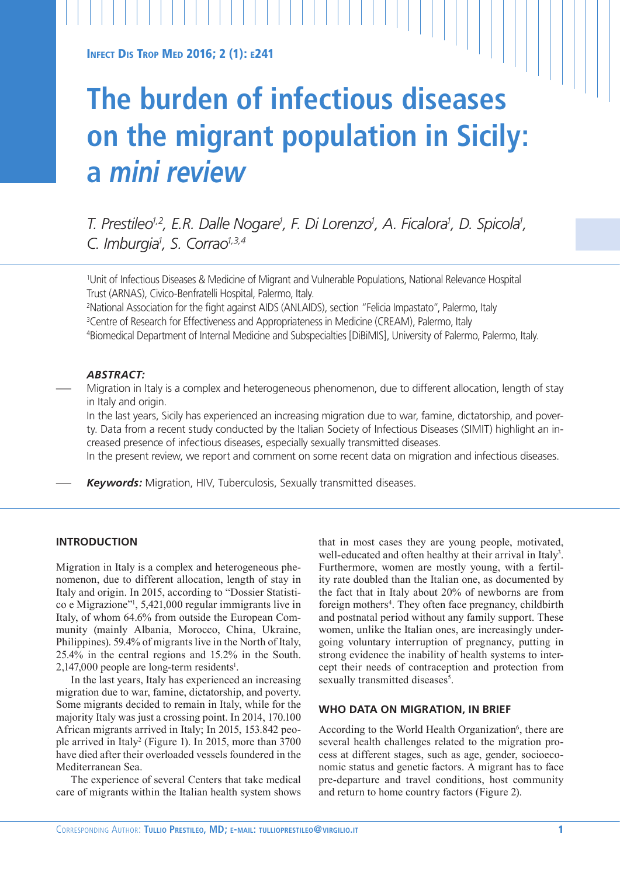**INFECT DIS TROP MED 2016: 2 (1): E241** 

# **The burden of infectious diseases on the migrant population in Sicily: a** *mini review*

*T. Prestileo<sup>1,2</sup>, E.R. Dalle Nogare<sup>1</sup>, F. Di Lorenzo<sup>1</sup>, A. Ficalora<sup>1</sup>, D. Spicola<sup>1</sup>, C. Imburgia1 , S. Corrao1,3,4*

1 Unit of Infectious Diseases & Medicine of Migrant and Vulnerable Populations, National Relevance Hospital Trust (ARNAS), Civico-Benfratelli Hospital, Palermo, Italy.

2 National Association for the fight against AIDS (ANLAIDS), section "Felicia Impastato", Palermo, Italy 3 Centre of Research for Effectiveness and Appropriateness in Medicine (CREAM), Palermo, Italy 4 Biomedical Department of Internal Medicine and Subspecialties [DiBiMIS], University of Palermo, Palermo, Italy.

# *ABSTRACT:*

— Migration in Italy is a complex and heterogeneous phenomenon, due to different allocation, length of stay in Italy and origin.

In the last years, Sicily has experienced an increasing migration due to war, famine, dictatorship, and poverty. Data from a recent study conducted by the Italian Society of Infectious Diseases (SIMIT) highlight an increased presence of infectious diseases, especially sexually transmitted diseases.

In the present review, we report and comment on some recent data on migration and infectious diseases.

— *Keywords:* Migration, HIV, Tuberculosis, Sexually transmitted diseases.

# **INTRODUCTION**

Migration in Italy is a complex and heterogeneous phenomenon, due to different allocation, length of stay in Italy and origin. In 2015, according to "Dossier Statistico e Migrazione"1 , 5,421,000 regular immigrants live in Italy, of whom 64.6% from outside the European Community (mainly Albania, Morocco, China, Ukraine, Philippines). 59.4% of migrants live in the North of Italy, 25.4% in the central regions and 15.2% in the South. 2,147,000 people are long-term residents<sup>1</sup>.

In the last years, Italy has experienced an increasing migration due to war, famine, dictatorship, and poverty. Some migrants decided to remain in Italy, while for the majority Italy was just a crossing point. In 2014, 170.100 African migrants arrived in Italy; In 2015, 153.842 people arrived in Italy<sup>2</sup> (Figure 1). In 2015, more than 3700 have died after their overloaded vessels foundered in the Mediterranean Sea.

The experience of several Centers that take medical care of migrants within the Italian health system shows

that in most cases they are young people, motivated, well-educated and often healthy at their arrival in Italy<sup>3</sup>. Furthermore, women are mostly young, with a fertility rate doubled than the Italian one, as documented by the fact that in Italy about 20% of newborns are from foreign mothers<sup>4</sup>. They often face pregnancy, childbirth and postnatal period without any family support. These women, unlike the Italian ones, are increasingly undergoing voluntary interruption of pregnancy, putting in strong evidence the inability of health systems to intercept their needs of contraception and protection from sexually transmitted diseases<sup>5</sup>.

#### **WHO DATA ON MIGRATION, IN BRIEF**

According to the World Health Organization<sup>6</sup>, there are several health challenges related to the migration process at different stages, such as age, gender, socioeconomic status and genetic factors. A migrant has to face pre-departure and travel conditions, host community and return to home country factors (Figure 2).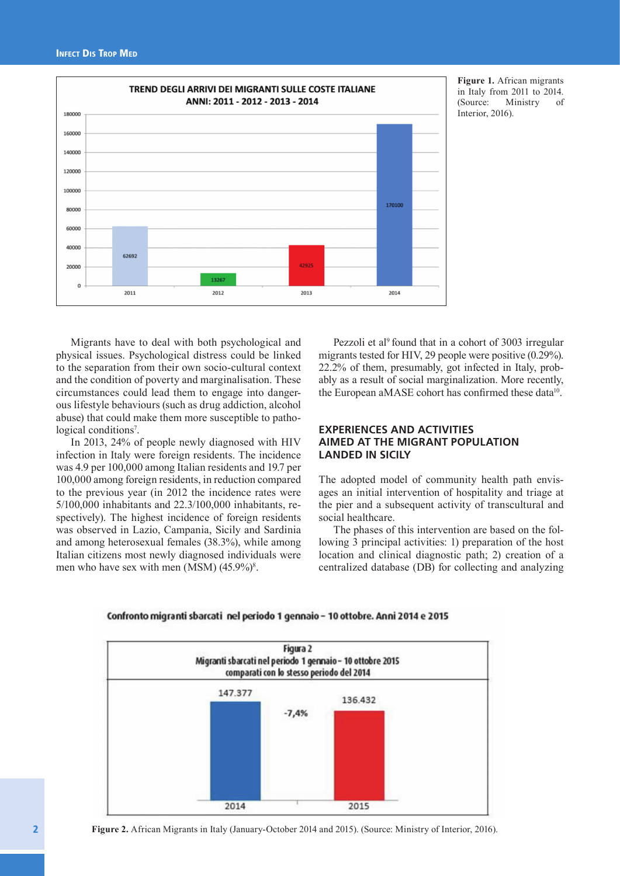

**Figure 1.** African migrants in Italy from 2011 to 2014. (Source: Ministry of Interior, 2016).

Migrants have to deal with both psychological and physical issues. Psychological distress could be linked to the separation from their own socio-cultural context and the condition of poverty and marginalisation. These circumstances could lead them to engage into dangerous lifestyle behaviours (such as drug addiction, alcohol abuse) that could make them more susceptible to pathological conditions<sup>7</sup>.

In 2013, 24% of people newly diagnosed with HIV infection in Italy were foreign residents. The incidence was 4.9 per 100,000 among Italian residents and 19.7 per 100,000 among foreign residents, in reduction compared to the previous year (in 2012 the incidence rates were 5/100,000 inhabitants and 22.3/100,000 inhabitants, respectively). The highest incidence of foreign residents was observed in Lazio, Campania, Sicily and Sardinia and among heterosexual females (38.3%), while among Italian citizens most newly diagnosed individuals were men who have sex with men (MSM)  $(45.9\%)^8$ .

Pezzoli et al<sup>9</sup> found that in a cohort of 3003 irregular migrants tested for HIV, 29 people were positive (0.29%). 22.2% of them, presumably, got infected in Italy, probably as a result of social marginalization. More recently, the European aMASE cohort has confirmed these data<sup>10</sup>.

# **EXPERIENCES AND ACTIVITIES AIMED AT THE MIGRANT POPULATION LANDED IN SICILY**

The adopted model of community health path envisages an initial intervention of hospitality and triage at the pier and a subsequent activity of transcultural and social healthcare.

The phases of this intervention are based on the following 3 principal activities: 1) preparation of the host location and clinical diagnostic path; 2) creation of a centralized database (DB) for collecting and analyzing



Confronto migranti sbarcati nel periodo 1 gennaio - 10 ottobre. Anni 2014 e 2015

**Figure 2.** African Migrants in Italy (January-October 2014 and 2015). (Source: Ministry of Interior, 2016).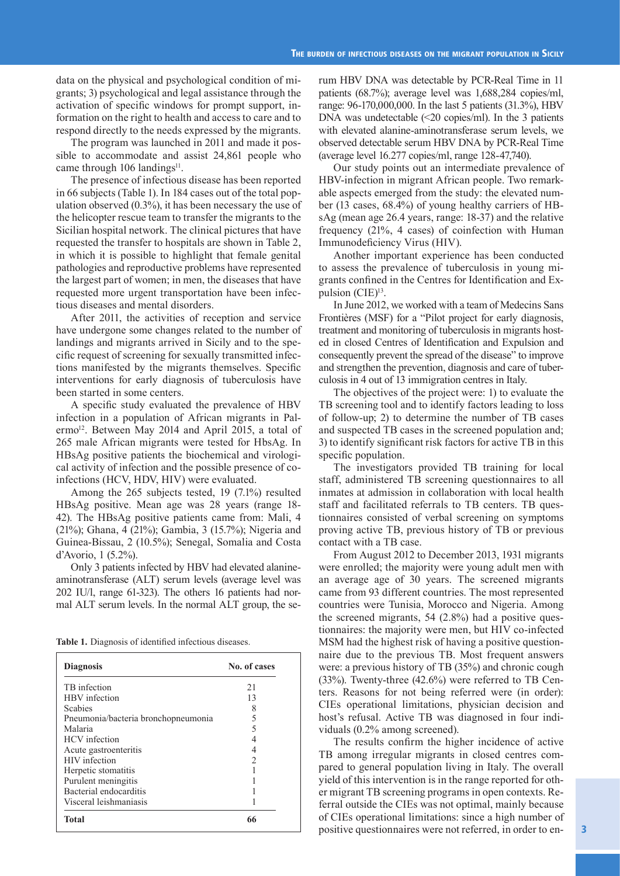data on the physical and psychological condition of migrants; 3) psychological and legal assistance through the activation of specific windows for prompt support, information on the right to health and access to care and to respond directly to the needs expressed by the migrants.

The program was launched in 2011 and made it possible to accommodate and assist 24,861 people who came through 106 landings<sup>11</sup>.

The presence of infectious disease has been reported in 66 subjects (Table 1). In 184 cases out of the total population observed (0.3%), it has been necessary the use of the helicopter rescue team to transfer the migrants to the Sicilian hospital network. The clinical pictures that have requested the transfer to hospitals are shown in Table 2, in which it is possible to highlight that female genital pathologies and reproductive problems have represented the largest part of women; in men, the diseases that have requested more urgent transportation have been infectious diseases and mental disorders.

After 2011, the activities of reception and service have undergone some changes related to the number of landings and migrants arrived in Sicily and to the specific request of screening for sexually transmitted infections manifested by the migrants themselves. Specific interventions for early diagnosis of tuberculosis have been started in some centers.

A specific study evaluated the prevalence of HBV infection in a population of African migrants in Palermo<sup>12</sup>. Between May 2014 and April 2015, a total of 265 male African migrants were tested for HbsAg. In HBsAg positive patients the biochemical and virological activity of infection and the possible presence of coinfections (HCV, HDV, HIV) were evaluated.

Among the 265 subjects tested, 19 (7.1%) resulted HBsAg positive. Mean age was 28 years (range 18- 42). The HBsAg positive patients came from: Mali, 4 (21%); Ghana, 4 (21%); Gambia, 3 (15.7%); Nigeria and Guinea-Bissau, 2 (10.5%); Senegal, Somalia and Costa d'Avorio, 1 (5.2%).

Only 3 patients infected by HBV had elevated alanineaminotransferase (ALT) serum levels (average level was 202 IU/l, range 61-323). The others 16 patients had normal ALT serum levels. In the normal ALT group, the se-

**Table 1.** Diagnosis of identified infectious diseases.

| <b>Diagnosis</b>                    | No. of cases |
|-------------------------------------|--------------|
| TB infection                        | 21           |
| <b>HBV</b> infection                | 13           |
| <b>Scabies</b>                      | 8            |
| Pneumonia/bacteria bronchopneumonia | 5            |
| Malaria                             | 5            |
| <b>HCV</b> infection                |              |
| Acute gastroenteritis               | 4            |
| HIV infection                       | 2            |
| Herpetic stomatitis                 |              |
| Purulent meningitis                 |              |
| Bacterial endocarditis              |              |
| Visceral leishmaniasis              |              |
| <b>Total</b>                        | 66           |

rum HBV DNA was detectable by PCR-Real Time in 11 patients (68.7%); average level was 1,688,284 copies/ml, range: 96-170,000,000. In the last 5 patients (31.3%), HBV DNA was undetectable  $\leq 20$  copies/ml). In the 3 patients with elevated alanine-aminotransferase serum levels, we observed detectable serum HBV DNA by PCR-Real Time (average level 16.277 copies/ml, range 128-47,740).

Our study points out an intermediate prevalence of HBV-infection in migrant African people. Two remarkable aspects emerged from the study: the elevated number (13 cases, 68.4%) of young healthy carriers of HBsAg (mean age 26.4 years, range: 18-37) and the relative frequency (21%, 4 cases) of coinfection with Human Immunodeficiency Virus (HIV).

Another important experience has been conducted to assess the prevalence of tuberculosis in young migrants confined in the Centres for Identification and Expulsion (CIE)<sup>13</sup>.

In June 2012, we worked with a team of Medecins Sans Frontières (MSF) for a "Pilot project for early diagnosis, treatment and monitoring of tuberculosis in migrants hosted in closed Centres of Identification and Expulsion and consequently prevent the spread of the disease" to improve and strengthen the prevention, diagnosis and care of tuberculosis in 4 out of 13 immigration centres in Italy.

The objectives of the project were: 1) to evaluate the TB screening tool and to identify factors leading to loss of follow-up; 2) to determine the number of TB cases and suspected TB cases in the screened population and; 3) to identify significant risk factors for active TB in this specific population.

The investigators provided TB training for local staff, administered TB screening questionnaires to all inmates at admission in collaboration with local health staff and facilitated referrals to TB centers. TB questionnaires consisted of verbal screening on symptoms proving active TB, previous history of TB or previous contact with a TB case.

From August 2012 to December 2013, 1931 migrants were enrolled; the majority were young adult men with an average age of 30 years. The screened migrants came from 93 different countries. The most represented countries were Tunisia, Morocco and Nigeria. Among the screened migrants, 54 (2.8%) had a positive questionnaires: the majority were men, but HIV co-infected MSM had the highest risk of having a positive questionnaire due to the previous TB. Most frequent answers were: a previous history of TB (35%) and chronic cough (33%). Twenty-three (42.6%) were referred to TB Centers. Reasons for not being referred were (in order): CIEs operational limitations, physician decision and host's refusal. Active TB was diagnosed in four individuals (0.2% among screened).

The results confirm the higher incidence of active TB among irregular migrants in closed centres compared to general population living in Italy. The overall yield of this intervention is in the range reported for other migrant TB screening programs in open contexts. Referral outside the CIEs was not optimal, mainly because of CIEs operational limitations: since a high number of positive questionnaires were not referred, in order to en-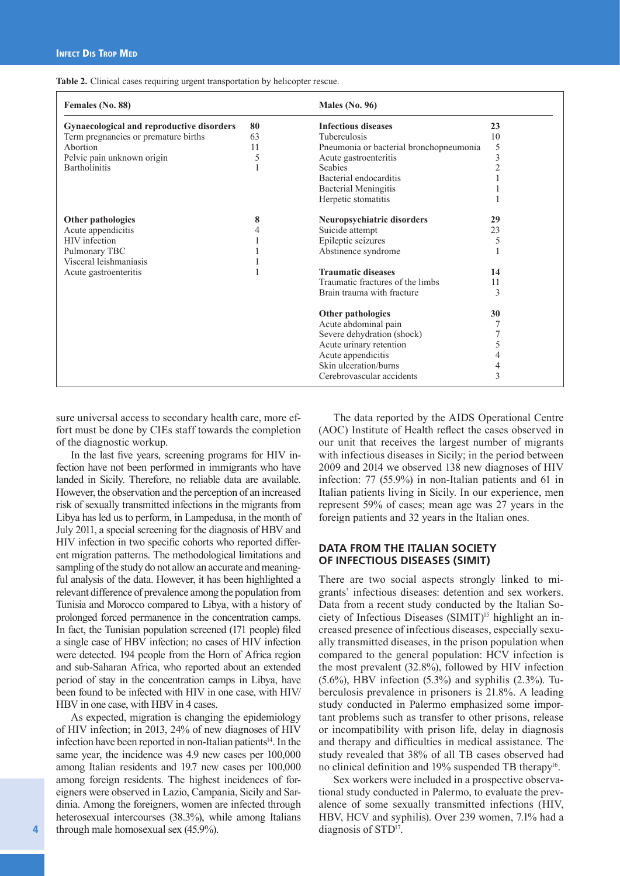|  | Table 2. Clinical cases requiring urgent transportation by helicopter rescue. |  |
|--|-------------------------------------------------------------------------------|--|
|  |                                                                               |  |
|  |                                                                               |  |

| Females (No. 88)                          |    | Males (No. $96$ )                       |                |
|-------------------------------------------|----|-----------------------------------------|----------------|
| Gynaecological and reproductive disorders | 80 | <b>Infectious diseases</b>              | 23             |
| Term pregnancies or premature births      | 63 | <b>Tuberculosis</b>                     | 10             |
| Abortion                                  | 11 | Pneumonia or bacterial bronchopneumonia | 5              |
| Pelvic pain unknown origin                | 5  | Acute gastroenteritis                   | 3              |
| <b>Bartholinitis</b>                      |    | <b>Scabies</b>                          | $\overline{2}$ |
|                                           |    | Bacterial endocarditis                  |                |
|                                           |    | <b>Bacterial Meningitis</b>             |                |
|                                           |    | Herpetic stomatitis                     |                |
| Other pathologies                         | 8  | Neuropsychiatric disorders              | 29             |
| Acute appendicitis                        |    | Suicide attempt                         | 23             |
| <b>HIV</b> infection                      |    | Epileptic seizures                      | 5              |
| Pulmonary TBC                             |    | Abstinence syndrome                     |                |
| Visceral leishmaniasis                    |    |                                         |                |
| Acute gastroenteritis                     |    | <b>Traumatic diseases</b>               | 14             |
|                                           |    | Traumatic fractures of the limbs        | 11             |
|                                           |    | Brain trauma with fracture              | 3              |
|                                           |    | Other pathologies                       | 30             |
|                                           |    | Acute abdominal pain                    |                |
|                                           |    | Severe dehydration (shock)              |                |
|                                           |    | Acute urinary retention                 | 5              |
|                                           |    | Acute appendicitis                      |                |
|                                           |    | Skin ulceration/burns                   |                |
|                                           |    | Cerebrovascular accidents               | 3              |

sure universal access to secondary health care, more effort must be done by CIEs staff towards the completion of the diagnostic workup.

In the last five years, screening programs for HIV infection have not been performed in immigrants who have landed in Sicily. Therefore, no reliable data are available. However, the observation and the perception of an increased risk of sexually transmitted infections in the migrants from Libya has led us to perform, in Lampedusa, in the month of July 2011, a special screening for the diagnosis of HBV and HIV infection in two specific cohorts who reported different migration patterns. The methodological limitations and sampling of the study do not allow an accurate and meaningful analysis of the data. However, it has been highlighted a relevant difference of prevalence among the population from Tunisia and Morocco compared to Libya, with a history of prolonged forced permanence in the concentration camps. In fact, the Tunisian population screened (171 people) filed a single case of HBV infection; no cases of HIV infection were detected. 194 people from the Horn of Africa region and sub-Saharan Africa, who reported about an extended period of stay in the concentration camps in Libya, have been found to be infected with HIV in one case, with HIV/ HBV in one case, with HBV in 4 cases.

As expected, migration is changing the epidemiology of HIV infection; in 2013, 24% of new diagnoses of HIV infection have been reported in non-Italian patients<sup>14</sup>. In the same year, the incidence was 4.9 new cases per 100,000 among Italian residents and 19.7 new cases per 100,000 among foreign residents. The highest incidences of foreigners were observed in Lazio, Campania, Sicily and Sardinia. Among the foreigners, women are infected through heterosexual intercourses (38.3%), while among Italians through male homosexual sex (45.9%).

The data reported by the AIDS Operational Centre (AOC) Institute of Health reflect the cases observed in our unit that receives the largest number of migrants with infectious diseases in Sicily; in the period between 2009 and 2014 we observed 138 new diagnoses of HIV infection: 77 (55.9%) in non-Italian patients and 61 in Italian patients living in Sicily. In our experience, men represent 59% of cases; mean age was 27 years in the foreign patients and 32 years in the Italian ones.

## **DATA FROM THE ITALIAN SOCIETY OF INFECTIOUS DISEASES (SIMIT)**

There are two social aspects strongly linked to migrants' infectious diseases: detention and sex workers. Data from a recent study conducted by the Italian Society of Infectious Diseases (SIMIT)<sup>15</sup> highlight an increased presence of infectious diseases, especially sexually transmitted diseases, in the prison population when compared to the general population: HCV infection is the most prevalent (32.8%), followed by HIV infection (5.6%), HBV infection (5.3%) and syphilis (2.3%). Tuberculosis prevalence in prisoners is 21.8%. A leading study conducted in Palermo emphasized some important problems such as transfer to other prisons, release or incompatibility with prison life, delay in diagnosis and therapy and difficulties in medical assistance. The study revealed that 38% of all TB cases observed had no clinical definition and 19% suspended TB therapy<sup>16</sup>.

Sex workers were included in a prospective observational study conducted in Palermo, to evaluate the prevalence of some sexually transmitted infections (HIV, HBV, HCV and syphilis). Over 239 women, 7.1% had a diagnosis of STD<sup>17</sup>.